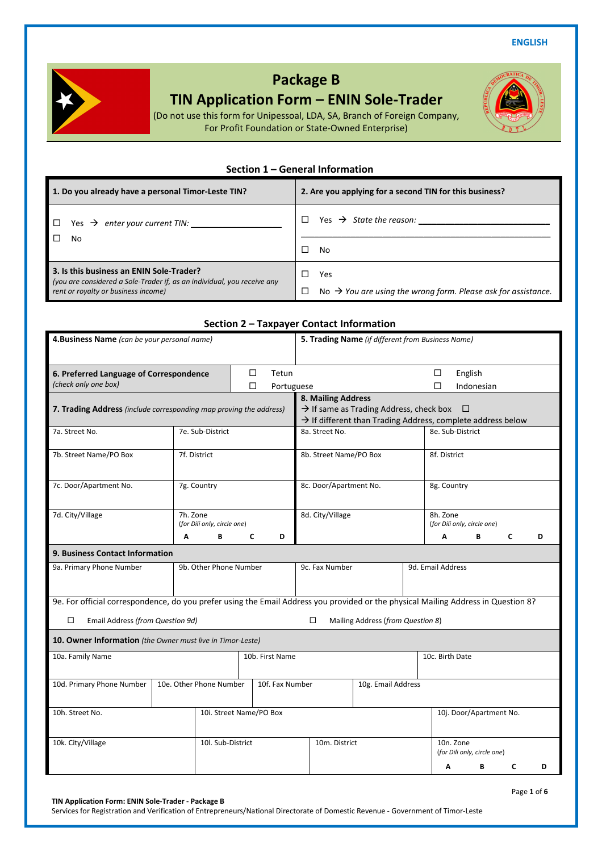**ENGLISH** 



# **Package B**

## **TIN Application Form – ENIN Sole-Trader**

(Do not use this form for Unipessoal, LDA, SA, Branch of Foreign Company, For Profit Foundation or State-Owned Enterprise)

## **Section 1 – General Information**

| 1. Do you already have a personal Timor-Leste TIN?                                                                                                         | 2. Are you applying for a second TIN for this business?                                    |
|------------------------------------------------------------------------------------------------------------------------------------------------------------|--------------------------------------------------------------------------------------------|
| Yes $\rightarrow$ enter your current TIN:                                                                                                                  | Yes $\rightarrow$ State the reason:                                                        |
| No                                                                                                                                                         | п<br>No                                                                                    |
| 3. Is this business an ENIN Sole-Trader?<br>(you are considered a Sole-Trader if, as an individual, you receive any<br>rent or royalty or business income) | Yes<br>П<br>No $\rightarrow$ You are using the wrong form. Please ask for assistance.<br>□ |

## **Section 2 – Taxpayer Contact Information**

| 4. Business Name (can be your personal name)                                                                                       |                         |                             |        |                                     | 5. Trading Name (if different from Business Name)                         |  |  |                                          |            |   |  |   |
|------------------------------------------------------------------------------------------------------------------------------------|-------------------------|-----------------------------|--------|-------------------------------------|---------------------------------------------------------------------------|--|--|------------------------------------------|------------|---|--|---|
| 6. Preferred Language of Correspondence                                                                                            |                         |                             | □      | Tetun                               | English<br>□                                                              |  |  |                                          |            |   |  |   |
| (check only one box)                                                                                                               |                         |                             | $\Box$ | Portuguese                          |                                                                           |  |  | П                                        | Indonesian |   |  |   |
| 7. Trading Address (include corresponding map proving the address)                                                                 |                         |                             |        |                                     | 8. Mailing Address<br>$\rightarrow$ If same as Trading Address, check box |  |  | □                                        |            |   |  |   |
|                                                                                                                                    |                         |                             |        |                                     | $\rightarrow$ If different than Trading Address, complete address below   |  |  |                                          |            |   |  |   |
| 7a. Street No.                                                                                                                     | 7e. Sub-District        |                             |        |                                     | 8a. Street No.                                                            |  |  | 8e. Sub-District                         |            |   |  |   |
| 7b. Street Name/PO Box                                                                                                             | 7f. District            |                             |        |                                     | 8b. Street Name/PO Box                                                    |  |  | 8f. District                             |            |   |  |   |
| 7c. Door/Apartment No.                                                                                                             | 7g. Country             |                             |        |                                     | 8c. Door/Apartment No.                                                    |  |  | 8g. Country                              |            |   |  |   |
| 7d. City/Village                                                                                                                   | 7h. Zone                | (for Dili only, circle one) |        |                                     | 8d. City/Village                                                          |  |  | 8h. Zone<br>(for Dili only, circle one)  |            |   |  |   |
|                                                                                                                                    | Α                       | В                           | C      | D                                   |                                                                           |  |  | Α                                        | В          | C |  | D |
| <b>9. Business Contact Information</b>                                                                                             |                         |                             |        |                                     |                                                                           |  |  |                                          |            |   |  |   |
| 9a. Primary Phone Number<br>9b. Other Phone Number                                                                                 |                         |                             |        | 9c. Fax Number<br>9d. Email Address |                                                                           |  |  |                                          |            |   |  |   |
| 9e. For official correspondence, do you prefer using the Email Address you provided or the physical Mailing Address in Question 8? |                         |                             |        |                                     |                                                                           |  |  |                                          |            |   |  |   |
| □<br>Email Address (from Question 9d)                                                                                              |                         |                             |        |                                     | □<br>Mailing Address (from Question 8)                                    |  |  |                                          |            |   |  |   |
| 10. Owner Information (the Owner must live in Timor-Leste)                                                                         |                         |                             |        |                                     |                                                                           |  |  |                                          |            |   |  |   |
| 10a. Family Name<br>10b. First Name                                                                                                |                         |                             |        | 10c. Birth Date                     |                                                                           |  |  |                                          |            |   |  |   |
| 10d. Primary Phone Number                                                                                                          | 10e. Other Phone Number |                             |        | 10f. Fax Number                     | 10g. Email Address                                                        |  |  |                                          |            |   |  |   |
| 10h. Street No.                                                                                                                    |                         | 10i. Street Name/PO Box     |        |                                     |                                                                           |  |  | 10j. Door/Apartment No.                  |            |   |  |   |
| 10k. City/Village                                                                                                                  |                         | 10l. Sub-District           |        |                                     | 10m. District                                                             |  |  | 10n. Zone<br>(for Dili only, circle one) |            |   |  |   |
|                                                                                                                                    |                         |                             |        |                                     |                                                                           |  |  | Α                                        | В          | C |  | D |

**TIN Application Form: ENIN Sole-Trader - Package B** 

Services for Registration and Verification of Entrepreneurs/National Directorate of Domestic Revenue - Government of Timor-Leste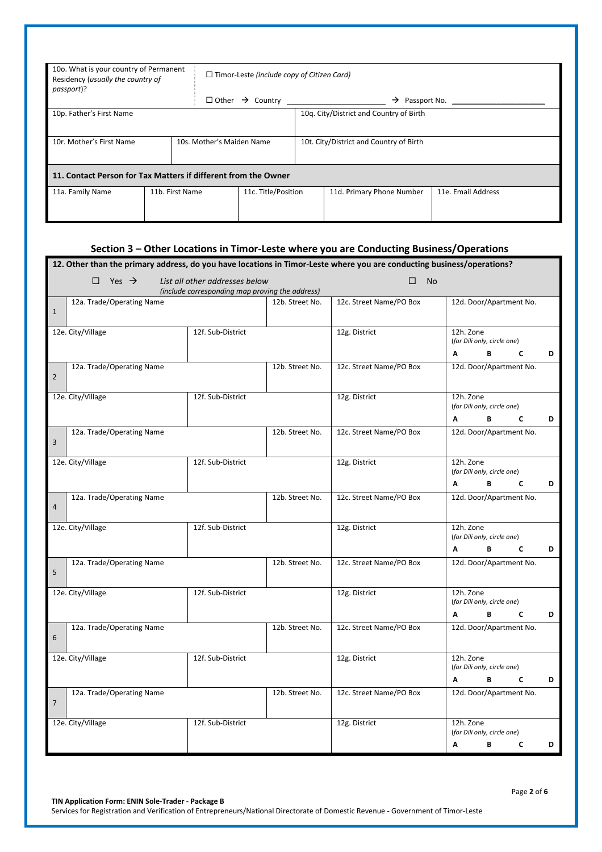| 10o. What is your country of Permanent<br>Residency (usually the country of<br>passport)? |                 | $\Box$ Timor-Leste (include copy of Citizen Card) |  |                                         |                            |                    |  |  |
|-------------------------------------------------------------------------------------------|-----------------|---------------------------------------------------|--|-----------------------------------------|----------------------------|--------------------|--|--|
|                                                                                           |                 |                                                   |  |                                         | $\rightarrow$ Passport No. |                    |  |  |
| 10p. Father's First Name                                                                  |                 |                                                   |  | 10q. City/District and Country of Birth |                            |                    |  |  |
| 10r. Mother's First Name                                                                  |                 | 10s. Mother's Maiden Name                         |  | 10t. City/District and Country of Birth |                            |                    |  |  |
| 11. Contact Person for Tax Matters if different from the Owner                            |                 |                                                   |  |                                         |                            |                    |  |  |
| 11a. Family Name                                                                          | 11b. First Name | 11c. Title/Position                               |  |                                         | 11d. Primary Phone Number  | 11e. Email Address |  |  |

|                | Section 3 - Other Locations in Timor-Leste where you are Conducting Business/Operations                                         |                   |                 |                         |                                                              |  |  |  |  |  |
|----------------|---------------------------------------------------------------------------------------------------------------------------------|-------------------|-----------------|-------------------------|--------------------------------------------------------------|--|--|--|--|--|
|                | 12. Other than the primary address, do you have locations in Timor-Leste where you are conducting business/operations?          |                   |                 |                         |                                                              |  |  |  |  |  |
|                | $\Box$ Yes $\rightarrow$<br>List all other addresses below<br>□<br><b>No</b><br>(include corresponding map proving the address) |                   |                 |                         |                                                              |  |  |  |  |  |
| $\mathbf{1}$   | 12a. Trade/Operating Name                                                                                                       |                   | 12b. Street No. | 12c. Street Name/PO Box | 12d. Door/Apartment No.                                      |  |  |  |  |  |
|                | 12e. City/Village                                                                                                               | 12f. Sub-District |                 | 12g. District           | 12h. Zone<br>(for Dili only, circle one)<br>B<br>C<br>D<br>Α |  |  |  |  |  |
| $\overline{2}$ | 12a. Trade/Operating Name                                                                                                       |                   | 12b. Street No. | 12c. Street Name/PO Box | 12d. Door/Apartment No.                                      |  |  |  |  |  |
|                | 12e. City/Village                                                                                                               | 12f. Sub-District |                 | 12g. District           | 12h. Zone<br>(for Dili only, circle one)<br>В<br>A<br>C<br>D |  |  |  |  |  |
| 3              | 12a. Trade/Operating Name                                                                                                       |                   | 12b. Street No. | 12c. Street Name/PO Box | 12d. Door/Apartment No.                                      |  |  |  |  |  |
|                | 12e. City/Village                                                                                                               | 12f. Sub-District |                 | 12g. District           | 12h. Zone<br>(for Dili only, circle one)<br>В<br>C<br>D<br>Α |  |  |  |  |  |
| $\overline{a}$ | 12a. Trade/Operating Name                                                                                                       |                   | 12b. Street No. | 12c. Street Name/PO Box | 12d. Door/Apartment No.                                      |  |  |  |  |  |
|                | 12e. City/Village                                                                                                               | 12f. Sub-District |                 | 12g. District           | 12h. Zone<br>(for Dili only, circle one)<br>A<br>В<br>C<br>D |  |  |  |  |  |
| 5              | 12a. Trade/Operating Name                                                                                                       |                   | 12b. Street No. | 12c. Street Name/PO Box | 12d. Door/Apartment No.                                      |  |  |  |  |  |
|                | 12e. City/Village                                                                                                               | 12f. Sub-District |                 | 12g. District           | 12h. Zone<br>(for Dili only, circle one)<br>A<br>C<br>D<br>В |  |  |  |  |  |
| 6              | 12a. Trade/Operating Name                                                                                                       |                   | 12b. Street No. | 12c. Street Name/PO Box | 12d. Door/Apartment No.                                      |  |  |  |  |  |
|                | 12e. City/Village                                                                                                               | 12f. Sub-District |                 | 12g. District           | 12h. Zone<br>(for Dili only, circle one)<br>B<br>C<br>A<br>D |  |  |  |  |  |
| $\overline{7}$ | 12a. Trade/Operating Name                                                                                                       |                   | 12b. Street No. | 12c. Street Name/PO Box | 12d. Door/Apartment No.                                      |  |  |  |  |  |
|                | 12e. City/Village                                                                                                               | 12f. Sub-District |                 | 12g. District           | 12h. Zone<br>(for Dili only, circle one)                     |  |  |  |  |  |
|                |                                                                                                                                 |                   |                 |                         | A<br>В<br>C<br>D                                             |  |  |  |  |  |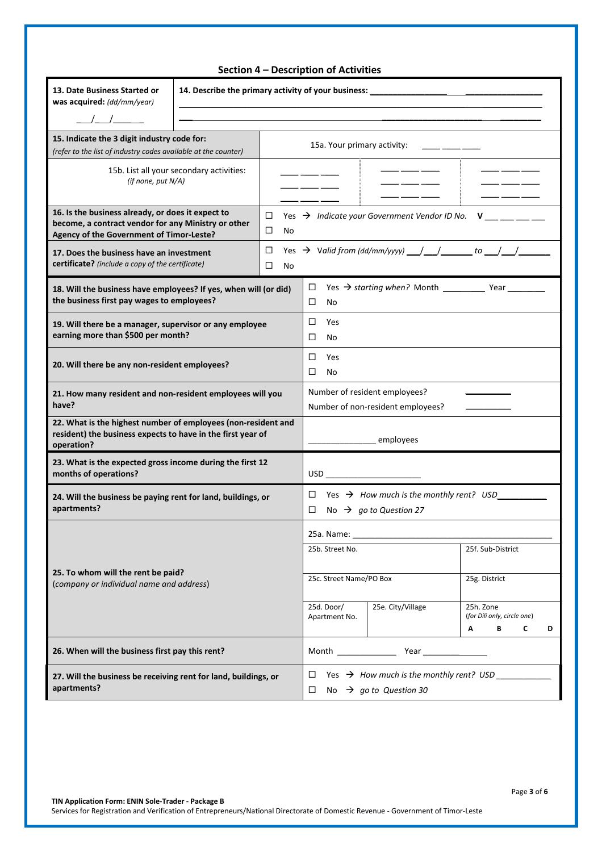|                                                                                                                                                      |                                                                                                                                                                      |                            | Section 4 - Description of Activities                              |                                                          |                                                    |        |  |  |  |
|------------------------------------------------------------------------------------------------------------------------------------------------------|----------------------------------------------------------------------------------------------------------------------------------------------------------------------|----------------------------|--------------------------------------------------------------------|----------------------------------------------------------|----------------------------------------------------|--------|--|--|--|
| 13. Date Business Started or<br>was acquired: (dd/mm/year)<br>$\frac{\Delta}{\Delta}$                                                                | 14. Describe the primary activity of your business: ____________________________<br>,我们也不会有什么。""我们的人,我们也不会有什么?""我们的人,我们也不会有什么?""我们的人,我们也不会有什么?""我们的人,我们也不会有什么?""我们的人 |                            |                                                                    |                                                          |                                                    |        |  |  |  |
| 15. Indicate the 3 digit industry code for:<br>(refer to the list of industry codes available at the counter)                                        |                                                                                                                                                                      |                            | 15a. Your primary activity:                                        |                                                          |                                                    |        |  |  |  |
| (if none, put N/A)                                                                                                                                   | 15b. List all your secondary activities:                                                                                                                             |                            |                                                                    |                                                          | ____                                               |        |  |  |  |
| 16. Is the business already, or does it expect to<br>become, a contract vendor for any Ministry or other<br>Agency of the Government of Timor-Leste? |                                                                                                                                                                      | □<br>□<br>No               |                                                                    | Yes $\rightarrow$ Indicate your Government Vendor ID No. |                                                    | $V =$  |  |  |  |
| 17. Does the business have an investment<br>certificate? (include a copy of the certificate)                                                         |                                                                                                                                                                      | □<br>□<br>No               |                                                                    |                                                          |                                                    |        |  |  |  |
| 18. Will the business have employees? If yes, when will (or did)<br>the business first pay wages to employees?                                       |                                                                                                                                                                      |                            | □<br>□<br>No                                                       | Yes $\rightarrow$ starting when? Month Year Year         |                                                    |        |  |  |  |
| 19. Will there be a manager, supervisor or any employee<br>earning more than \$500 per month?                                                        | □<br>Yes<br>□<br>No                                                                                                                                                  |                            |                                                                    |                                                          |                                                    |        |  |  |  |
| 20. Will there be any non-resident employees?                                                                                                        |                                                                                                                                                                      | □<br>Yes<br>□<br><b>No</b> |                                                                    |                                                          |                                                    |        |  |  |  |
| 21. How many resident and non-resident employees will you<br>have?                                                                                   |                                                                                                                                                                      |                            | Number of resident employees?<br>Number of non-resident employees? |                                                          |                                                    |        |  |  |  |
| 22. What is the highest number of employees (non-resident and<br>resident) the business expects to have in the first year of<br>operation?           |                                                                                                                                                                      |                            |                                                                    | employees                                                |                                                    |        |  |  |  |
| 23. What is the expected gross income during the first 12<br>months of operations?                                                                   |                                                                                                                                                                      |                            | $\overline{\text{USD}}$                                            |                                                          |                                                    |        |  |  |  |
| 24. Will the business be paying rent for land, buildings, or<br>apartments?                                                                          |                                                                                                                                                                      |                            | $\Box$ No $\rightarrow$ go to Question 27                          |                                                          |                                                    |        |  |  |  |
| 25. To whom will the rent be paid?<br>(company or individual name and address)                                                                       |                                                                                                                                                                      |                            | 25a. Name: __<br>25b. Street No.<br>25f. Sub-District              |                                                          |                                                    |        |  |  |  |
|                                                                                                                                                      |                                                                                                                                                                      |                            | 25c. Street Name/PO Box                                            |                                                          | 25g. District                                      |        |  |  |  |
|                                                                                                                                                      |                                                                                                                                                                      |                            | 25d. Door/<br>Apartment No.                                        | 25e. City/Village                                        | 25h. Zone<br>(for Dili only, circle one)<br>В<br>A | C<br>D |  |  |  |
| 26. When will the business first pay this rent?                                                                                                      |                                                                                                                                                                      |                            |                                                                    |                                                          |                                                    |        |  |  |  |
| 27. Will the business be receiving rent for land, buildings, or<br>apartments?                                                                       | Yes $\rightarrow$ How much is the monthly rent? USD ____<br>□<br>No $\rightarrow$ go to Question 30<br>□                                                             |                            |                                                                    |                                                          |                                                    |        |  |  |  |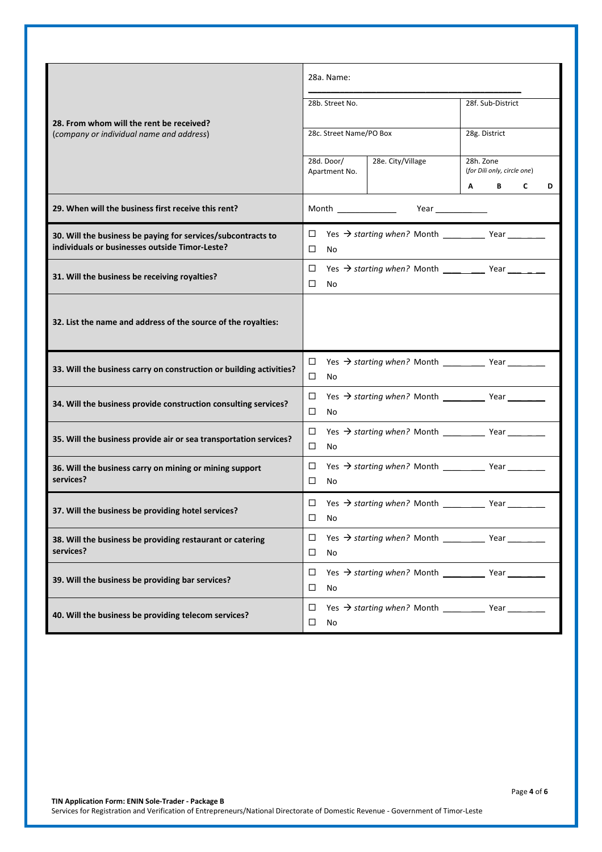|                                                                                                                | 28a. Name:                                                                                                                                                                                                                          |                                                                                                                                                                                                                                    |                                          |        |  |  |  |
|----------------------------------------------------------------------------------------------------------------|-------------------------------------------------------------------------------------------------------------------------------------------------------------------------------------------------------------------------------------|------------------------------------------------------------------------------------------------------------------------------------------------------------------------------------------------------------------------------------|------------------------------------------|--------|--|--|--|
|                                                                                                                | 28b. Street No.                                                                                                                                                                                                                     |                                                                                                                                                                                                                                    | 28f. Sub-District                        |        |  |  |  |
| 28. From whom will the rent be received?                                                                       |                                                                                                                                                                                                                                     |                                                                                                                                                                                                                                    |                                          |        |  |  |  |
| (company or individual name and address)                                                                       | 28c. Street Name/PO Box                                                                                                                                                                                                             |                                                                                                                                                                                                                                    | 28g. District                            |        |  |  |  |
|                                                                                                                | 28d. Door/<br>Apartment No.                                                                                                                                                                                                         | 28e. City/Village                                                                                                                                                                                                                  | 28h. Zone<br>(for Dili only, circle one) |        |  |  |  |
|                                                                                                                |                                                                                                                                                                                                                                     |                                                                                                                                                                                                                                    | B<br>A                                   | C<br>D |  |  |  |
| 29. When will the business first receive this rent?                                                            | Month <b>Month</b> the control of the control of the control of the control of the control of the control of the control of the control of the control of the control of the control of the control of the control of the control o | <b>Year</b> and the second second the second second second second second second second second second second second second second second second second second second second second second second second second second second second |                                          |        |  |  |  |
| 30. Will the business be paying for services/subcontracts to<br>individuals or businesses outside Timor-Leste? | □<br>□<br>No                                                                                                                                                                                                                        |                                                                                                                                                                                                                                    |                                          |        |  |  |  |
| 31. Will the business be receiving royalties?                                                                  | □<br>□<br>No                                                                                                                                                                                                                        |                                                                                                                                                                                                                                    |                                          |        |  |  |  |
| 32. List the name and address of the source of the royalties:                                                  |                                                                                                                                                                                                                                     |                                                                                                                                                                                                                                    |                                          |        |  |  |  |
| 33. Will the business carry on construction or building activities?                                            | $\Box$<br>□<br>No.                                                                                                                                                                                                                  |                                                                                                                                                                                                                                    |                                          |        |  |  |  |
| 34. Will the business provide construction consulting services?                                                | $\Box$<br>□<br>No                                                                                                                                                                                                                   |                                                                                                                                                                                                                                    |                                          |        |  |  |  |
| 35. Will the business provide air or sea transportation services?                                              | □<br>□<br><b>No</b>                                                                                                                                                                                                                 |                                                                                                                                                                                                                                    |                                          |        |  |  |  |
| 36. Will the business carry on mining or mining support<br>services?                                           | □<br>□<br><b>No</b>                                                                                                                                                                                                                 |                                                                                                                                                                                                                                    |                                          |        |  |  |  |
| 37. Will the business be providing hotel services?                                                             | □<br>$\Box$<br>No                                                                                                                                                                                                                   | Yes $\rightarrow$ starting when? Month _________                                                                                                                                                                                   | Year                                     |        |  |  |  |
| 38. Will the business be providing restaurant or catering<br>services?                                         | ◻<br>□<br>No                                                                                                                                                                                                                        |                                                                                                                                                                                                                                    |                                          |        |  |  |  |
| 39. Will the business be providing bar services?                                                               | □<br>$\Box$<br>No                                                                                                                                                                                                                   |                                                                                                                                                                                                                                    |                                          |        |  |  |  |
| 40. Will the business be providing telecom services?                                                           | □<br>◻<br>No                                                                                                                                                                                                                        |                                                                                                                                                                                                                                    |                                          |        |  |  |  |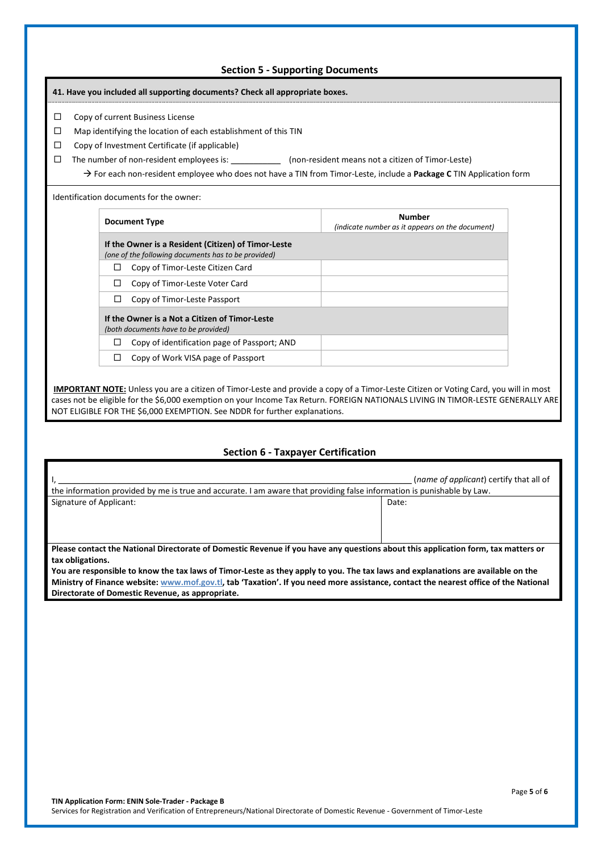### **Section 5 - Supporting Documents**

## **41. Have you included all supporting documents? Check all appropriate boxes.**

- $\Box$  Copy of current Business License
- $\square$  Map identifying the location of each establishment of this TIN
- $\Box$  Copy of Investment Certificate (if applicable)
- $\Box$  The number of non-resident employees is:  $\Box$  (non-resident means not a citizen of Timor-Leste)

→ For each non-resident employee who does not have a TIN from Timor-Leste, include a Package C TIN Application form

Identification documents for the owner:

| <b>Document Type</b>                                                                                       | <b>Number</b><br>(indicate number as it appears on the document) |
|------------------------------------------------------------------------------------------------------------|------------------------------------------------------------------|
| If the Owner is a Resident (Citizen) of Timor-Leste<br>(one of the following documents has to be provided) |                                                                  |
| Copy of Timor-Leste Citizen Card                                                                           |                                                                  |
| Copy of Timor-Leste Voter Card                                                                             |                                                                  |
| Copy of Timor-Leste Passport<br>$\mathsf{L}$                                                               |                                                                  |
| If the Owner is a Not a Citizen of Timor-Leste<br>(both documents have to be provided)                     |                                                                  |
| Copy of identification page of Passport; AND                                                               |                                                                  |
| Copy of Work VISA page of Passport                                                                         |                                                                  |

 **IMPORTANT NOTE:** Unless you are a citizen of Timor-Leste and provide a copy of a Timor-Leste Citizen or Voting Card, you will in most cases not be eligible for the \$6,000 exemption on your Income Tax Return. FOREIGN NATIONALS LIVING IN TIMOR-LESTE GENERALLY ARE NOT ELIGIBLE FOR THE \$6,000 EXEMPTION. See NDDR for further explanations.

#### **Section 6 - Taxpayer Certification**

| (name of applicant) certify that all of<br>the information provided by me is true and accurate. I am aware that providing false information is punishable by Law. |  |  |  |  |  |  |  |  |
|-------------------------------------------------------------------------------------------------------------------------------------------------------------------|--|--|--|--|--|--|--|--|
| Signature of Applicant:<br>Date:                                                                                                                                  |  |  |  |  |  |  |  |  |
|                                                                                                                                                                   |  |  |  |  |  |  |  |  |
|                                                                                                                                                                   |  |  |  |  |  |  |  |  |
|                                                                                                                                                                   |  |  |  |  |  |  |  |  |
| Please contact the National Directorate of Domestic Revenue if you have any questions about this application form, tax matters or                                 |  |  |  |  |  |  |  |  |
| tax obligations.                                                                                                                                                  |  |  |  |  |  |  |  |  |
| You are responsible to know the tax laws of Timor-Leste as they apply to you. The tax laws and explanations are available on the                                  |  |  |  |  |  |  |  |  |
| Ministry of Finance website: www.mof.gov.tl, tab 'Taxation'. If you need more assistance, contact the nearest office of the National                              |  |  |  |  |  |  |  |  |

**Directorate of Domestic Revenue, as appropriate.**